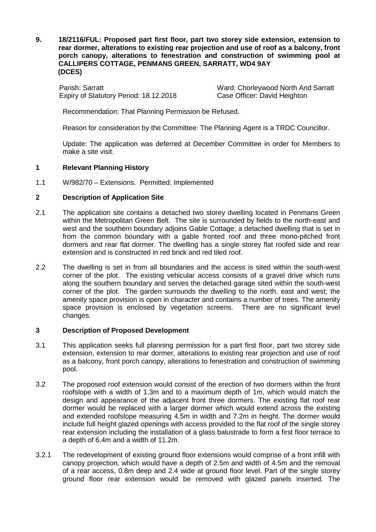**9. 18/2116/FUL: Proposed part first floor, part two storey side extension, extension to rear dormer, alterations to existing rear projection and use of roof as a balcony, front porch canopy, alterations to fenestration and construction of swimming pool at CALLIPERS COTTAGE, PENMANS GREEN, SARRATT, WD4 9AY (DCES)**

Parish: Sarratt <br>
Expiry of Statutory Period: 18.12.2018<br>
Case Officer: David Heighton Expiry of Statutory Period: 18.12.2018

Recommendation: That Planning Permission be Refused.

Reason for consideration by the Committee: The Planning Agent is a TRDC Councillor.

Update: The application was deferred at December Committee in order for Members to make a site visit.

### **1 Relevant Planning History**

1.1 W/982/70 – Extensions. Permitted: Implemented

# **2 Description of Application Site**

- 2.1 The application site contains a detached two storey dwelling located in Penmans Green within the Metropolitan Green Belt. The site is surrounded by fields to the north-east and west and the southern boundary adjoins Gable Cottage; a detached dwelling that is set in from the common boundary with a gable fronted roof and three mono-pitched front dormers and rear flat dormer. The dwelling has a single storey flat roofed side and rear extension and is constructed in red brick and red tiled roof.
- 2.2 The dwelling is set in from all boundaries and the access is sited within the south-west corner of the plot. The existing vehicular access consists of a gravel drive which runs along the southern boundary and serves the detached garage sited within the south-west corner of the plot. The garden surrounds the dwelling to the north, east and west; the amenity space provision is open in character and contains a number of trees. The amenity space provision is enclosed by vegetation screens. There are no significant level changes.

## **3 Description of Proposed Development**

- 3.1 This application seeks full planning permission for a part first floor, part two storey side extension, extension to rear dormer, alterations to existing rear projection and use of roof as a balcony, front porch canopy, alterations to fenestration and construction of swimming pool.
- 3.2 The proposed roof extension would consist of the erection of two dormers within the front roofslope with a width of 1.3m and to a maximum depth of 1m, which would match the design and appearance of the adjacent front three dormers. The existing flat roof rear dormer would be replaced with a larger dormer which would extend across the existing and extended roofslope measuring 4.5m in width and 7.2m in height. The dormer would include full height glazed openings with access provided to the flat roof of the single storey rear extension including the installation of a glass balustrade to form a first floor terrace to a depth of 6.4m and a width of 11.2m.
- 3.2.1 The redevelopment of existing ground floor extensions would comprise of a front infill with canopy projection, which would have a depth of 2.5m and width of 4.5m and the removal of a rear access, 0.8m deep and 2.4 wide at ground floor level. Part of the single storey ground floor rear extension would be removed with glazed panels inserted. The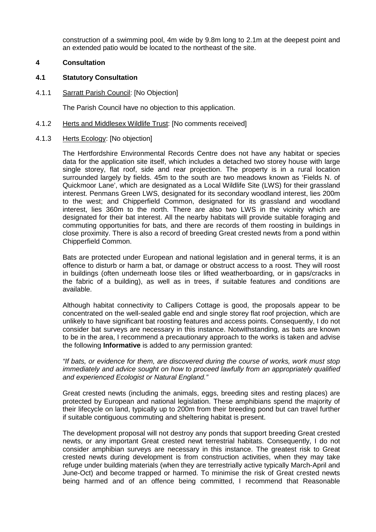construction of a swimming pool, 4m wide by 9.8m long to 2.1m at the deepest point and an extended patio would be located to the northeast of the site.

## **4 Consultation**

#### **4.1 Statutory Consultation**

4.1.1 Sarratt Parish Council: [No Objection]

The Parish Council have no objection to this application.

- 4.1.2 Herts and Middlesex Wildlife Trust: [No comments received]
- 4.1.3 Herts Ecology: [No objection]

The Hertfordshire Environmental Records Centre does not have any habitat or species data for the application site itself, which includes a detached two storey house with large single storey, flat roof, side and rear projection. The property is in a rural location surrounded largely by fields. 45m to the south are two meadows known as 'Fields N. of Quickmoor Lane', which are designated as a Local Wildlife Site (LWS) for their grassland interest. Penmans Green LWS, designated for its secondary woodland interest, lies 200m to the west; and Chipperfield Common, designated for its grassland and woodland interest, lies 360m to the north. There are also two LWS in the vicinity which are designated for their bat interest. All the nearby habitats will provide suitable foraging and commuting opportunities for bats, and there are records of them roosting in buildings in close proximity. There is also a record of breeding Great crested newts from a pond within Chipperfield Common.

Bats are protected under European and national legislation and in general terms, it is an offence to disturb or harm a bat, or damage or obstruct access to a roost. They will roost in buildings (often underneath loose tiles or lifted weatherboarding, or in gaps/cracks in the fabric of a building), as well as in trees, if suitable features and conditions are available.

Although habitat connectivity to Callipers Cottage is good, the proposals appear to be concentrated on the well-sealed gable end and single storey flat roof projection, which are unlikely to have significant bat roosting features and access points. Consequently, I do not consider bat surveys are necessary in this instance. Notwithstanding, as bats are known to be in the area, I recommend a precautionary approach to the works is taken and advise the following **Informative** is added to any permission granted:

*"If bats, or evidence for them, are discovered during the course of works, work must stop immediately and advice sought on how to proceed lawfully from an appropriately qualified and experienced Ecologist or Natural England."* 

Great crested newts (including the animals, eggs, breeding sites and resting places) are protected by European and national legislation. These amphibians spend the majority of their lifecycle on land, typically up to 200m from their breeding pond but can travel further if suitable contiguous commuting and sheltering habitat is present.

The development proposal will not destroy any ponds that support breeding Great crested newts, or any important Great crested newt terrestrial habitats. Consequently, I do not consider amphibian surveys are necessary in this instance. The greatest risk to Great crested newts during development is from construction activities, when they may take refuge under building materials (when they are terrestrially active typically March-April and June-Oct) and become trapped or harmed. To minimise the risk of Great crested newts being harmed and of an offence being committed, I recommend that Reasonable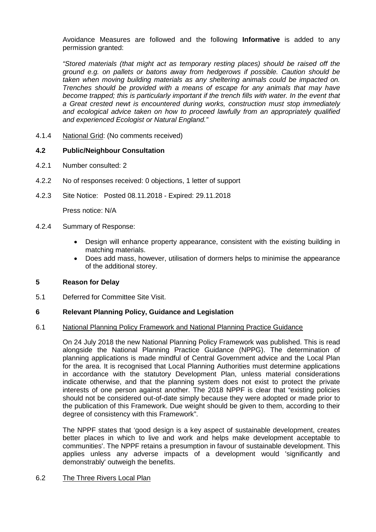Avoidance Measures are followed and the following **Informative** is added to any permission granted:

*"Stored materials (that might act as temporary resting places) should be raised off the ground e.g. on pallets or batons away from hedgerows if possible. Caution should be taken when moving building materials as any sheltering animals could be impacted on. Trenches should be provided with a means of escape for any animals that may have*  become trapped; this is particularly important if the trench fills with water. In the event that *a Great crested newt is encountered during works, construction must stop immediately and ecological advice taken on how to proceed lawfully from an appropriately qualified and experienced Ecologist or Natural England."*

4.1.4 National Grid: (No comments received)

### **4.2 Public/Neighbour Consultation**

- 4.2.1 Number consulted: 2
- 4.2.2 No of responses received: 0 objections, 1 letter of support
- 4.2.3 Site Notice: Posted 08.11.2018 Expired: 29.11.2018

Press notice: N/A

- 4.2.4 Summary of Response:
	- Design will enhance property appearance, consistent with the existing building in matching materials.
	- Does add mass, however, utilisation of dormers helps to minimise the appearance of the additional storey.

## **5 Reason for Delay**

5.1 Deferred for Committee Site Visit.

#### **6 Relevant Planning Policy, Guidance and Legislation**

#### 6.1 National Planning Policy Framework and National Planning Practice Guidance

On 24 July 2018 the new National Planning Policy Framework was published. This is read alongside the National Planning Practice Guidance (NPPG). The determination of planning applications is made mindful of Central Government advice and the Local Plan for the area. It is recognised that Local Planning Authorities must determine applications in accordance with the statutory Development Plan, unless material considerations indicate otherwise, and that the planning system does not exist to protect the private interests of one person against another. The 2018 NPPF is clear that "existing policies should not be considered out-of-date simply because they were adopted or made prior to the publication of this Framework. Due weight should be given to them, according to their degree of consistency with this Framework".

The NPPF states that 'good design is a key aspect of sustainable development, creates better places in which to live and work and helps make development acceptable to communities'. The NPPF retains a presumption in favour of sustainable development. This applies unless any adverse impacts of a development would 'significantly and demonstrably' outweigh the benefits.

#### 6.2 The Three Rivers Local Plan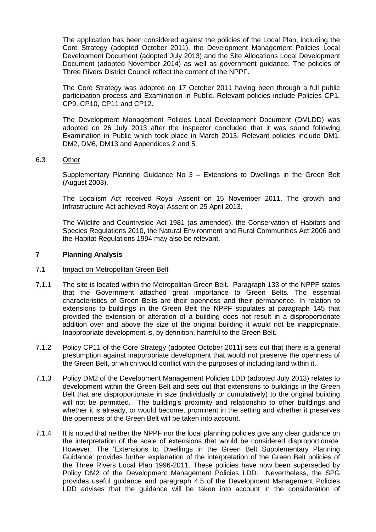The application has been considered against the policies of the Local Plan, including the Core Strategy (adopted October 2011), the Development Management Policies Local Development Document (adopted July 2013) and the Site Allocations Local Development Document (adopted November 2014) as well as government guidance. The policies of Three Rivers District Council reflect the content of the NPPF.

The Core Strategy was adopted on 17 October 2011 having been through a full public participation process and Examination in Public. Relevant policies include Policies CP1, CP9, CP10, CP11 and CP12.

The Development Management Policies Local Development Document (DMLDD) was adopted on 26 July 2013 after the Inspector concluded that it was sound following Examination in Public which took place in March 2013. Relevant policies include DM1, DM2, DM6, DM13 and Appendices 2 and 5.

### 6.3 Other

Supplementary Planning Guidance No 3 – Extensions to Dwellings in the Green Belt (August 2003).

The Localism Act received Royal Assent on 15 November 2011. The growth and Infrastructure Act achieved Royal Assent on 25 April 2013.

The Wildlife and Countryside Act 1981 (as amended), the Conservation of Habitats and Species Regulations 2010, the Natural Environment and Rural Communities Act 2006 and the Habitat Regulations 1994 may also be relevant.

### **7 Planning Analysis**

#### 7.1 Impact on Metropolitan Green Belt

- 7.1.1 The site is located within the Metropolitan Green Belt. Paragraph 133 of the NPPF states that the Government attached great importance to Green Belts. The essential characteristics of Green Belts are their openness and their permanence. In relation to extensions to buildings in the Green Belt the NPPF stipulates at paragraph 145 that provided the extension or alteration of a building does not result in a disproportionate addition over and above the size of the original building it would not be inappropriate. Inappropriate development is, by definition, harmful to the Green Belt.
- 7.1.2 Policy CP11 of the Core Strategy (adopted October 2011) sets out that there is a general presumption against inappropriate development that would not preserve the openness of the Green Belt, or which would conflict with the purposes of including land within it.
- 7.1.3 Policy DM2 of the Development Management Policies LDD (adopted July 2013) relates to development within the Green Belt and sets out that extensions to buildings in the Green Belt that are disproportionate in size (individually or cumulatively) to the original building will not be permitted. The building's proximity and relationship to other buildings and whether it is already, or would become, prominent in the setting and whether it preserves the openness of the Green Belt will be taken into account.
- 7.1.4 It is noted that neither the NPPF nor the local planning policies give any clear guidance on the interpretation of the scale of extensions that would be considered disproportionate. However, The 'Extensions to Dwellings in the Green Belt Supplementary Planning Guidance' provides further explanation of the interpretation of the Green Belt policies of the Three Rivers Local Plan 1996-2011. These policies have now been superseded by Policy DM2 of the Development Management Policies LDD. Nevertheless, the SPG provides useful guidance and paragraph 4.5 of the Development Management Policies LDD advises that the guidance will be taken into account in the consideration of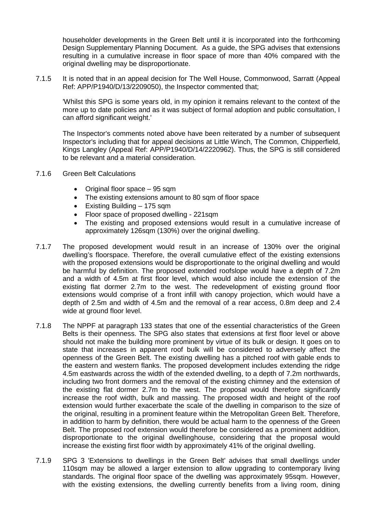householder developments in the Green Belt until it is incorporated into the forthcoming Design Supplementary Planning Document. As a guide, the SPG advises that extensions resulting in a cumulative increase in floor space of more than 40% compared with the original dwelling may be disproportionate.

7.1.5 It is noted that in an appeal decision for The Well House, Commonwood, Sarratt (Appeal Ref: APP/P1940/D/13/2209050), the Inspector commented that;

'Whilst this SPG is some years old, in my opinion it remains relevant to the context of the more up to date policies and as it was subject of formal adoption and public consultation, I can afford significant weight.'

The Inspector's comments noted above have been reiterated by a number of subsequent Inspector's including that for appeal decisions at Little Winch, The Common, Chipperfield, Kings Langley (Appeal Ref: APP/P1940/D/14/2220962). Thus, the SPG is still considered to be relevant and a material consideration.

- 7.1.6 Green Belt Calculations
	- Original floor space 95 sqm
	- The existing extensions amount to 80 sqm of floor space
	- Existing Building 175 sqm
	- Floor space of proposed dwelling 221sqm
	- The existing and proposed extensions would result in a cumulative increase of approximately 126sqm (130%) over the original dwelling.
- 7.1.7 The proposed development would result in an increase of 130% over the original dwelling's floorspace. Therefore, the overall cumulative effect of the existing extensions with the proposed extensions would be disproportionate to the original dwelling and would be harmful by definition. The proposed extended roofslope would have a depth of 7.2m and a width of 4.5m at first floor level, which would also include the extension of the existing flat dormer 2.7m to the west. The redevelopment of existing ground floor extensions would comprise of a front infill with canopy projection, which would have a depth of 2.5m and width of 4.5m and the removal of a rear access, 0.8m deep and 2.4 wide at ground floor level.
- 7.1.8 The NPPF at paragraph 133 states that one of the essential characteristics of the Green Belts is their openness. The SPG also states that extensions at first floor level or above should not make the building more prominent by virtue of its bulk or design. It goes on to state that increases in apparent roof bulk will be considered to adversely affect the openness of the Green Belt. The existing dwelling has a pitched roof with gable ends to the eastern and western flanks. The proposed development includes extending the ridge 4.5m eastwards across the width of the extended dwelling, to a depth of 7.2m northwards, including two front dormers and the removal of the existing chimney and the extension of the existing flat dormer 2.7m to the west. The proposal would therefore significantly increase the roof width, bulk and massing. The proposed width and height of the roof extension would further exacerbate the scale of the dwelling in comparison to the size of the original, resulting in a prominent feature within the Metropolitan Green Belt. Therefore, in addition to harm by definition, there would be actual harm to the openness of the Green Belt. The proposed roof extension would therefore be considered as a prominent addition, disproportionate to the original dwellinghouse, considering that the proposal would increase the existing first floor width by approximately 41% of the original dwelling.
- 7.1.9 SPG 3 'Extensions to dwellings in the Green Belt' advises that small dwellings under 110sqm may be allowed a larger extension to allow upgrading to contemporary living standards. The original floor space of the dwelling was approximately 95sqm. However, with the existing extensions, the dwelling currently benefits from a living room, dining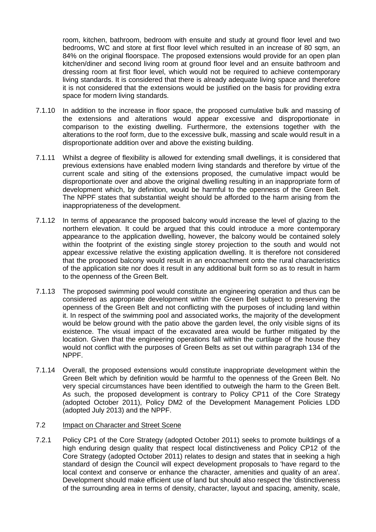room, kitchen, bathroom, bedroom with ensuite and study at ground floor level and two bedrooms. WC and store at first floor level which resulted in an increase of 80 sqm, an 84% on the original floorspace. The proposed extensions would provide for an open plan kitchen/diner and second living room at ground floor level and an ensuite bathroom and dressing room at first floor level, which would not be required to achieve contemporary living standards. It is considered that there is already adequate living space and therefore it is not considered that the extensions would be justified on the basis for providing extra space for modern living standards.

- 7.1.10 In addition to the increase in floor space, the proposed cumulative bulk and massing of the extensions and alterations would appear excessive and disproportionate in comparison to the existing dwelling. Furthermore, the extensions together with the alterations to the roof form, due to the excessive bulk, massing and scale would result in a disproportionate addition over and above the existing building.
- 7.1.11 Whilst a degree of flexibility is allowed for extending small dwellings, it is considered that previous extensions have enabled modern living standards and therefore by virtue of the current scale and siting of the extensions proposed, the cumulative impact would be disproportionate over and above the original dwelling resulting in an inappropriate form of development which, by definition, would be harmful to the openness of the Green Belt. The NPPF states that substantial weight should be afforded to the harm arising from the inappropriateness of the development.
- 7.1.12 In terms of appearance the proposed balcony would increase the level of glazing to the northern elevation. It could be argued that this could introduce a more contemporary appearance to the application dwelling, however, the balcony would be contained solely within the footprint of the existing single storey projection to the south and would not appear excessive relative the existing application dwelling. It is therefore not considered that the proposed balcony would result in an encroachment onto the rural characteristics of the application site nor does it result in any additional built form so as to result in harm to the openness of the Green Belt.
- 7.1.13 The proposed swimming pool would constitute an engineering operation and thus can be considered as appropriate development within the Green Belt subject to preserving the openness of the Green Belt and not conflicting with the purposes of including land within it. In respect of the swimming pool and associated works, the majority of the development would be below ground with the patio above the garden level, the only visible signs of its existence. The visual impact of the excavated area would be further mitigated by the location. Given that the engineering operations fall within the curtilage of the house they would not conflict with the purposes of Green Belts as set out within paragraph 134 of the NPPF.
- 7.1.14 Overall, the proposed extensions would constitute inappropriate development within the Green Belt which by definition would be harmful to the openness of the Green Belt. No very special circumstances have been identified to outweigh the harm to the Green Belt. As such, the proposed development is contrary to Policy CP11 of the Core Strategy (adopted October 2011), Policy DM2 of the Development Management Policies LDD (adopted July 2013) and the NPPF.

### 7.2 Impact on Character and Street Scene

7.2.1 Policy CP1 of the Core Strategy (adopted October 2011) seeks to promote buildings of a high enduring design quality that respect local distinctiveness and Policy CP12 of the Core Strategy (adopted October 2011) relates to design and states that in seeking a high standard of design the Council will expect development proposals to 'have regard to the local context and conserve or enhance the character, amenities and quality of an area'. Development should make efficient use of land but should also respect the 'distinctiveness of the surrounding area in terms of density, character, layout and spacing, amenity, scale,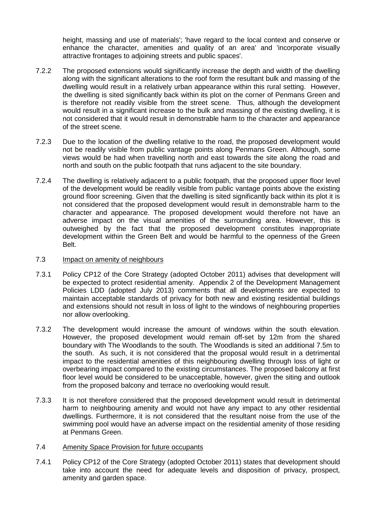height, massing and use of materials'; 'have regard to the local context and conserve or enhance the character, amenities and quality of an area' and 'incorporate visually attractive frontages to adjoining streets and public spaces'.

- 7.2.2 The proposed extensions would significantly increase the depth and width of the dwelling along with the significant alterations to the roof form the resultant bulk and massing of the dwelling would result in a relatively urban appearance within this rural setting. However, the dwelling is sited significantly back within its plot on the corner of Penmans Green and is therefore not readily visible from the street scene. Thus, although the development would result in a significant increase to the bulk and massing of the existing dwelling, it is not considered that it would result in demonstrable harm to the character and appearance of the street scene.
- 7.2.3 Due to the location of the dwelling relative to the road, the proposed development would not be readily visible from public vantage points along Penmans Green. Although, some views would be had when travelling north and east towards the site along the road and north and south on the public footpath that runs adjacent to the site boundary.
- 7.2.4 The dwelling is relatively adjacent to a public footpath, that the proposed upper floor level of the development would be readily visible from public vantage points above the existing ground floor screening. Given that the dwelling is sited significantly back within its plot it is not considered that the proposed development would result in demonstrable harm to the character and appearance. The proposed development would therefore not have an adverse impact on the visual amenities of the surrounding area. However, this is outweighed by the fact that the proposed development constitutes inappropriate development within the Green Belt and would be harmful to the openness of the Green Belt.

# 7.3 **Impact on amenity of neighbours**

- 7.3.1 Policy CP12 of the Core Strategy (adopted October 2011) advises that development will be expected to protect residential amenity. Appendix 2 of the Development Management Policies LDD (adopted July 2013) comments that all developments are expected to maintain acceptable standards of privacy for both new and existing residential buildings and extensions should not result in loss of light to the windows of neighbouring properties nor allow overlooking.
- 7.3.2 The development would increase the amount of windows within the south elevation. However, the proposed development would remain off-set by 12m from the shared boundary with The Woodlands to the south. The Woodlands is sited an additional 7.5m to the south. As such, it is not considered that the proposal would result in a detrimental impact to the residential amenities of this neighbouring dwelling through loss of light or overbearing impact compared to the existing circumstances. The proposed balcony at first floor level would be considered to be unacceptable, however, given the siting and outlook from the proposed balcony and terrace no overlooking would result.
- 7.3.3 It is not therefore considered that the proposed development would result in detrimental harm to neighbouring amenity and would not have any impact to any other residential dwellings. Furthermore, it is not considered that the resultant noise from the use of the swimming pool would have an adverse impact on the residential amenity of those residing at Penmans Green.

#### 7.4 Amenity Space Provision for future occupants

7.4.1 Policy CP12 of the Core Strategy (adopted October 2011) states that development should take into account the need for adequate levels and disposition of privacy, prospect, amenity and garden space.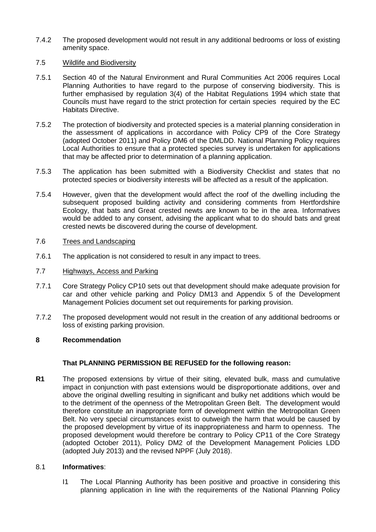7.4.2 The proposed development would not result in any additional bedrooms or loss of existing amenity space.

## 7.5 Wildlife and Biodiversity

- 7.5.1 Section 40 of the Natural Environment and Rural Communities Act 2006 requires Local Planning Authorities to have regard to the purpose of conserving biodiversity. This is further emphasised by regulation 3(4) of the Habitat Regulations 1994 which state that Councils must have regard to the strict protection for certain species required by the EC Habitats Directive.
- 7.5.2 The protection of biodiversity and protected species is a material planning consideration in the assessment of applications in accordance with Policy CP9 of the Core Strategy (adopted October 2011) and Policy DM6 of the DMLDD. National Planning Policy requires Local Authorities to ensure that a protected species survey is undertaken for applications that may be affected prior to determination of a planning application.
- 7.5.3 The application has been submitted with a Biodiversity Checklist and states that no protected species or biodiversity interests will be affected as a result of the application.
- 7.5.4 However, given that the development would affect the roof of the dwelling including the subsequent proposed building activity and considering comments from Hertfordshire Ecology, that bats and Great crested newts are known to be in the area. Informatives would be added to any consent, advising the applicant what to do should bats and great crested newts be discovered during the course of development.

# 7.6 Trees and Landscaping

- 7.6.1 The application is not considered to result in any impact to trees.
- 7.7 Highways, Access and Parking
- 7.7.1 Core Strategy Policy CP10 sets out that development should make adequate provision for car and other vehicle parking and Policy DM13 and Appendix 5 of the Development Management Policies document set out requirements for parking provision.
- 7.7.2 The proposed development would not result in the creation of any additional bedrooms or loss of existing parking provision.

# **8 Recommendation**

# **That PLANNING PERMISSION BE REFUSED for the following reason:**

**R1** The proposed extensions by virtue of their siting, elevated bulk, mass and cumulative impact in conjunction with past extensions would be disproportionate additions, over and above the original dwelling resulting in significant and bulky net additions which would be to the detriment of the openness of the Metropolitan Green Belt. The development would therefore constitute an inappropriate form of development within the Metropolitan Green Belt. No very special circumstances exist to outweigh the harm that would be caused by the proposed development by virtue of its inappropriateness and harm to openness. The proposed development would therefore be contrary to Policy CP11 of the Core Strategy (adopted October 2011), Policy DM2 of the Development Management Policies LDD (adopted July 2013) and the revised NPPF (July 2018).

# 8.1 **Informatives**:

I1 The Local Planning Authority has been positive and proactive in considering this planning application in line with the requirements of the National Planning Policy